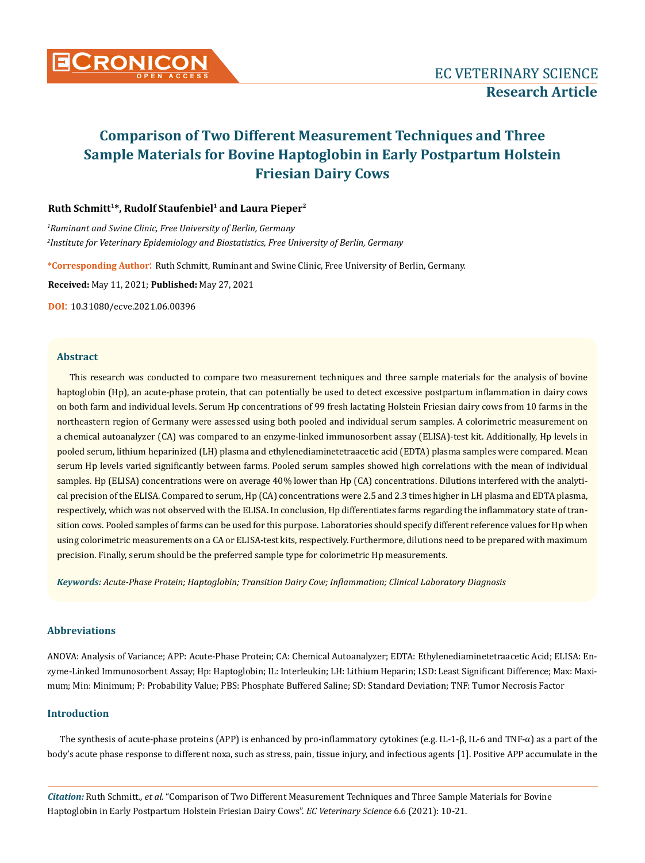

### **Ruth Schmitt1\*, Rudolf Staufenbiel1 and Laura Pieper2**

*1 Ruminant and Swine Clinic, Free University of Berlin, Germany 2 Institute for Veterinary Epidemiology and Biostatistics, Free University of Berlin, Germany*

**\*Corresponding Author**: Ruth Schmitt, Ruminant and Swine Clinic, Free University of Berlin, Germany.

**Received:** May 11, 2021; **Published:** May 27, 2021

**DOI**: 10.31080/ecve.2021.06.00396

### **Abstract**

This research was conducted to compare two measurement techniques and three sample materials for the analysis of bovine haptoglobin (Hp), an acute-phase protein, that can potentially be used to detect excessive postpartum inflammation in dairy cows on both farm and individual levels. Serum Hp concentrations of 99 fresh lactating Holstein Friesian dairy cows from 10 farms in the northeastern region of Germany were assessed using both pooled and individual serum samples. A colorimetric measurement on a chemical autoanalyzer (CA) was compared to an enzyme-linked immunosorbent assay (ELISA)-test kit. Additionally, Hp levels in pooled serum, lithium heparinized (LH) plasma and ethylenediaminetetraacetic acid (EDTA) plasma samples were compared. Mean serum Hp levels varied significantly between farms. Pooled serum samples showed high correlations with the mean of individual samples. Hp (ELISA) concentrations were on average 40% lower than Hp (CA) concentrations. Dilutions interfered with the analytical precision of the ELISA. Compared to serum, Hp (CA) concentrations were 2.5 and 2.3 times higher in LH plasma and EDTA plasma, respectively, which was not observed with the ELISA. In conclusion, Hp differentiates farms regarding the inflammatory state of transition cows. Pooled samples of farms can be used for this purpose. Laboratories should specify different reference values for Hp when using colorimetric measurements on a CA or ELISA-test kits, respectively. Furthermore, dilutions need to be prepared with maximum precision. Finally, serum should be the preferred sample type for colorimetric Hp measurements.

*Keywords: Acute-Phase Protein; Haptoglobin; Transition Dairy Cow; Inflammation; Clinical Laboratory Diagnosis*

### **Abbreviations**

ANOVA: Analysis of Variance; APP: Acute-Phase Protein; CA: Chemical Autoanalyzer; EDTA: Ethylenediaminetetraacetic Acid; ELISA: Enzyme-Linked Immunosorbent Assay; Hp: Haptoglobin; IL: Interleukin; LH: Lithium Heparin; LSD: Least Significant Difference; Max: Maximum; Min: Minimum; P: Probability Value; PBS: Phosphate Buffered Saline; SD: Standard Deviation; TNF: Tumor Necrosis Factor

### **Introduction**

The synthesis of acute-phase proteins (APP) is enhanced by pro-inflammatory cytokines (e.g. IL-1-β, IL-6 and TNF-α) as a part of the body's acute phase response to different noxa, such as stress, pain, tissue injury, and infectious agents [1]. Positive APP accumulate in the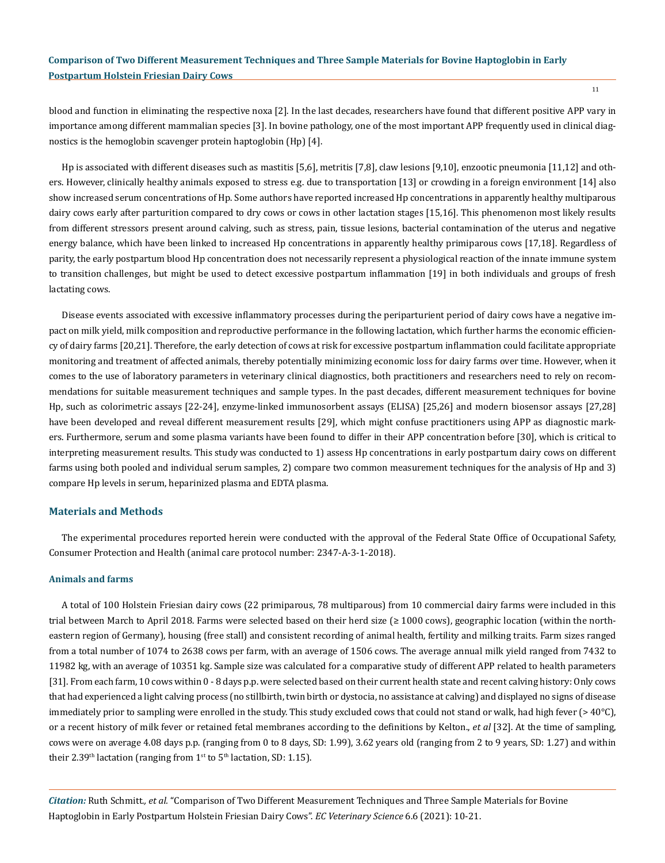blood and function in eliminating the respective noxa [2]. In the last decades, researchers have found that different positive APP vary in importance among different mammalian species [3]. In bovine pathology, one of the most important APP frequently used in clinical diagnostics is the hemoglobin scavenger protein haptoglobin (Hp) [4].

Hp is associated with different diseases such as mastitis [5,6], metritis [7,8], claw lesions [9,10], enzootic pneumonia [11,12] and others. However, clinically healthy animals exposed to stress e.g. due to transportation [13] or crowding in a foreign environment [14] also show increased serum concentrations of Hp. Some authors have reported increased Hp concentrations in apparently healthy multiparous dairy cows early after parturition compared to dry cows or cows in other lactation stages [15,16]. This phenomenon most likely results from different stressors present around calving, such as stress, pain, tissue lesions, bacterial contamination of the uterus and negative energy balance, which have been linked to increased Hp concentrations in apparently healthy primiparous cows [17,18]. Regardless of parity, the early postpartum blood Hp concentration does not necessarily represent a physiological reaction of the innate immune system to transition challenges, but might be used to detect excessive postpartum inflammation [19] in both individuals and groups of fresh lactating cows.

Disease events associated with excessive inflammatory processes during the periparturient period of dairy cows have a negative impact on milk yield, milk composition and reproductive performance in the following lactation, which further harms the economic efficiency of dairy farms [20,21]. Therefore, the early detection of cows at risk for excessive postpartum inflammation could facilitate appropriate monitoring and treatment of affected animals, thereby potentially minimizing economic loss for dairy farms over time. However, when it comes to the use of laboratory parameters in veterinary clinical diagnostics, both practitioners and researchers need to rely on recommendations for suitable measurement techniques and sample types. In the past decades, different measurement techniques for bovine Hp, such as colorimetric assays [22-24], enzyme-linked immunosorbent assays (ELISA) [25,26] and modern biosensor assays [27,28] have been developed and reveal different measurement results [29], which might confuse practitioners using APP as diagnostic markers. Furthermore, serum and some plasma variants have been found to differ in their APP concentration before [30], which is critical to interpreting measurement results. This study was conducted to 1) assess Hp concentrations in early postpartum dairy cows on different farms using both pooled and individual serum samples, 2) compare two common measurement techniques for the analysis of Hp and 3) compare Hp levels in serum, heparinized plasma and EDTA plasma.

### **Materials and Methods**

The experimental procedures reported herein were conducted with the approval of the Federal State Office of Occupational Safety, Consumer Protection and Health (animal care protocol number: 2347-A-3-1-2018).

### **Animals and farms**

A total of 100 Holstein Friesian dairy cows (22 primiparous, 78 multiparous) from 10 commercial dairy farms were included in this trial between March to April 2018. Farms were selected based on their herd size (≥ 1000 cows), geographic location (within the northeastern region of Germany), housing (free stall) and consistent recording of animal health, fertility and milking traits. Farm sizes ranged from a total number of 1074 to 2638 cows per farm, with an average of 1506 cows. The average annual milk yield ranged from 7432 to 11982 kg, with an average of 10351 kg. Sample size was calculated for a comparative study of different APP related to health parameters [31]. From each farm, 10 cows within 0 - 8 days p.p. were selected based on their current health state and recent calving history: Only cows that had experienced a light calving process (no stillbirth, twin birth or dystocia, no assistance at calving) and displayed no signs of disease immediately prior to sampling were enrolled in the study. This study excluded cows that could not stand or walk, had high fever (> 40°C), or a recent history of milk fever or retained fetal membranes according to the definitions by Kelton., *et al* [32]. At the time of sampling, cows were on average 4.08 days p.p. (ranging from 0 to 8 days, SD: 1.99), 3.62 years old (ranging from 2 to 9 years, SD: 1.27) and within their 2.39<sup>th</sup> lactation (ranging from  $1<sup>st</sup>$  to  $5<sup>th</sup>$  lactation, SD: 1.15).

*Citation:* Ruth Schmitt*., et al.* "Comparison of Two Different Measurement Techniques and Three Sample Materials for Bovine Haptoglobin in Early Postpartum Holstein Friesian Dairy Cows". *EC Veterinary Science* 6.6 (2021): 10-21.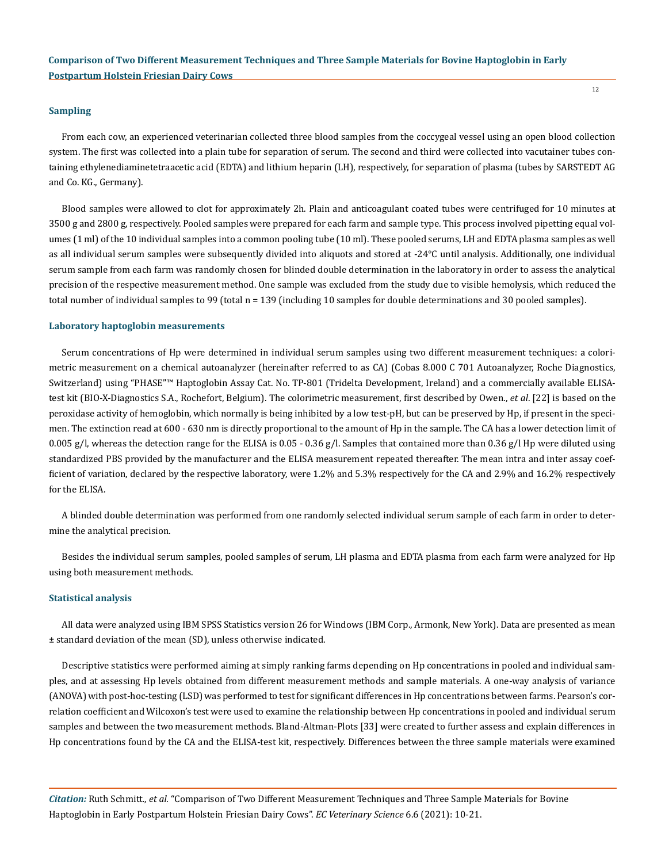### **Sampling**

From each cow, an experienced veterinarian collected three blood samples from the coccygeal vessel using an open blood collection system. The first was collected into a plain tube for separation of serum. The second and third were collected into vacutainer tubes containing ethylenediaminetetraacetic acid (EDTA) and lithium heparin (LH), respectively, for separation of plasma (tubes by SARSTEDT AG and Co. KG., Germany).

Blood samples were allowed to clot for approximately 2h. Plain and anticoagulant coated tubes were centrifuged for 10 minutes at 3500 g and 2800 g, respectively. Pooled samples were prepared for each farm and sample type. This process involved pipetting equal volumes (1 ml) of the 10 individual samples into a common pooling tube (10 ml). These pooled serums, LH and EDTA plasma samples as well as all individual serum samples were subsequently divided into aliquots and stored at -24°C until analysis. Additionally, one individual serum sample from each farm was randomly chosen for blinded double determination in the laboratory in order to assess the analytical precision of the respective measurement method. One sample was excluded from the study due to visible hemolysis, which reduced the total number of individual samples to 99 (total n = 139 (including 10 samples for double determinations and 30 pooled samples).

### **Laboratory haptoglobin measurements**

Serum concentrations of Hp were determined in individual serum samples using two different measurement techniques: a colorimetric measurement on a chemical autoanalyzer (hereinafter referred to as CA) (Cobas 8.000 C 701 Autoanalyzer, Roche Diagnostics, Switzerland) using "PHASE"™ Haptoglobin Assay Cat. No. TP-801 (Tridelta Development, Ireland) and a commercially available ELISAtest kit (BIO-X-Diagnostics S.A., Rochefort, Belgium). The colorimetric measurement, first described by Owen., *et al*. [22] is based on the peroxidase activity of hemoglobin, which normally is being inhibited by a low test-pH, but can be preserved by Hp, if present in the specimen. The extinction read at 600 - 630 nm is directly proportional to the amount of Hp in the sample. The CA has a lower detection limit of 0.005 g/l, whereas the detection range for the ELISA is  $0.05 - 0.36$  g/l. Samples that contained more than 0.36 g/l Hp were diluted using standardized PBS provided by the manufacturer and the ELISA measurement repeated thereafter. The mean intra and inter assay coefficient of variation, declared by the respective laboratory, were 1.2% and 5.3% respectively for the CA and 2.9% and 16.2% respectively for the ELISA.

A blinded double determination was performed from one randomly selected individual serum sample of each farm in order to determine the analytical precision.

Besides the individual serum samples, pooled samples of serum, LH plasma and EDTA plasma from each farm were analyzed for Hp using both measurement methods.

### **Statistical analysis**

All data were analyzed using IBM SPSS Statistics version 26 for Windows (IBM Corp., Armonk, New York). Data are presented as mean ± standard deviation of the mean (SD), unless otherwise indicated.

Descriptive statistics were performed aiming at simply ranking farms depending on Hp concentrations in pooled and individual samples, and at assessing Hp levels obtained from different measurement methods and sample materials. A one-way analysis of variance (ANOVA) with post-hoc-testing (LSD) was performed to test for significant differences in Hp concentrations between farms. Pearson's correlation coefficient and Wilcoxon's test were used to examine the relationship between Hp concentrations in pooled and individual serum samples and between the two measurement methods. Bland-Altman-Plots [33] were created to further assess and explain differences in Hp concentrations found by the CA and the ELISA-test kit, respectively. Differences between the three sample materials were examined

*Citation:* Ruth Schmitt*., et al.* "Comparison of Two Different Measurement Techniques and Three Sample Materials for Bovine Haptoglobin in Early Postpartum Holstein Friesian Dairy Cows". *EC Veterinary Science* 6.6 (2021): 10-21.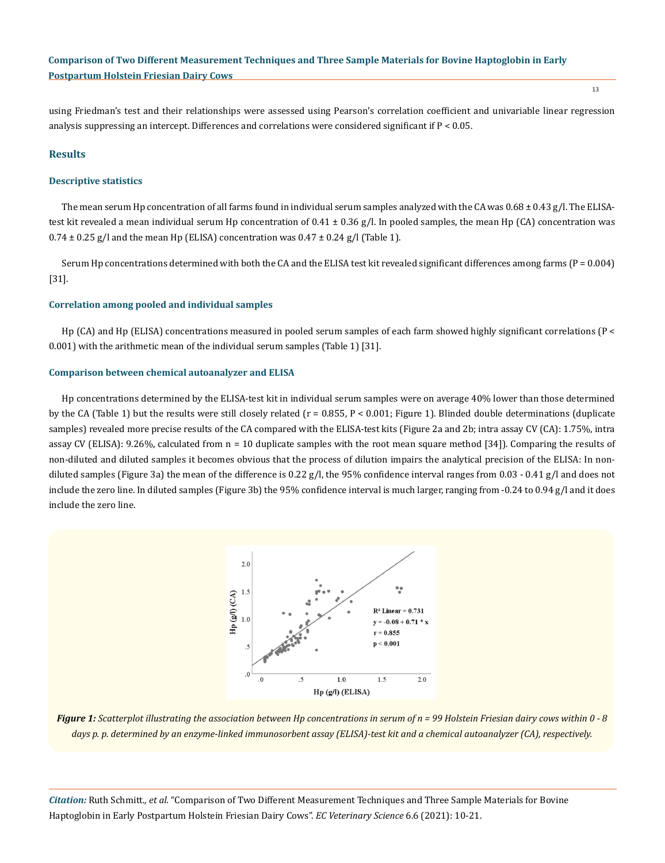using Friedman's test and their relationships were assessed using Pearson's correlation coefficient and univariable linear regression analysis suppressing an intercept. Differences and correlations were considered significant if P < 0.05.

### **Results**

### **Descriptive statistics**

The mean serum Hp concentration of all farms found in individual serum samples analyzed with the CA was  $0.68 \pm 0.43$  g/l. The ELISAtest kit revealed a mean individual serum Hp concentration of  $0.41 \pm 0.36$  g/l. In pooled samples, the mean Hp (CA) concentration was  $0.74 \pm 0.25$  g/l and the mean Hp (ELISA) concentration was  $0.47 \pm 0.24$  g/l (Table 1).

Serum Hp concentrations determined with both the CA and the ELISA test kit revealed significant differences among farms ( $P = 0.004$ ) [31].

### **Correlation among pooled and individual samples**

Hp (CA) and Hp (ELISA) concentrations measured in pooled serum samples of each farm showed highly significant correlations (P < 0.001) with the arithmetic mean of the individual serum samples (Table 1) [31].

#### **Comparison between chemical autoanalyzer and ELISA**

Hp concentrations determined by the ELISA-test kit in individual serum samples were on average 40% lower than those determined by the CA (Table 1) but the results were still closely related ( $r = 0.855$ ,  $P < 0.001$ ; Figure 1). Blinded double determinations (duplicate samples) revealed more precise results of the CA compared with the ELISA-test kits (Figure 2a and 2b; intra assay CV (CA): 1.75%, intra assay CV (ELISA): 9.26%, calculated from n = 10 duplicate samples with the root mean square method [34]). Comparing the results of non-diluted and diluted samples it becomes obvious that the process of dilution impairs the analytical precision of the ELISA: In nondiluted samples (Figure 3a) the mean of the difference is 0.22 g/l, the 95% confidence interval ranges from  $0.03 - 0.41$  g/l and does not include the zero line. In diluted samples (Figure 3b) the 95% confidence interval is much larger, ranging from -0.24 to 0.94 g/l and it does include the zero line.



*Figure 1: Scatterplot illustrating the association between Hp concentrations in serum of n = 99 Holstein Friesian dairy cows within 0 - 8 days p. p. determined by an enzyme-linked immunosorbent assay (ELISA)-test kit and a chemical autoanalyzer (CA), respectively.*

*Citation:* Ruth Schmitt*., et al.* "Comparison of Two Different Measurement Techniques and Three Sample Materials for Bovine Haptoglobin in Early Postpartum Holstein Friesian Dairy Cows". *EC Veterinary Science* 6.6 (2021): 10-21.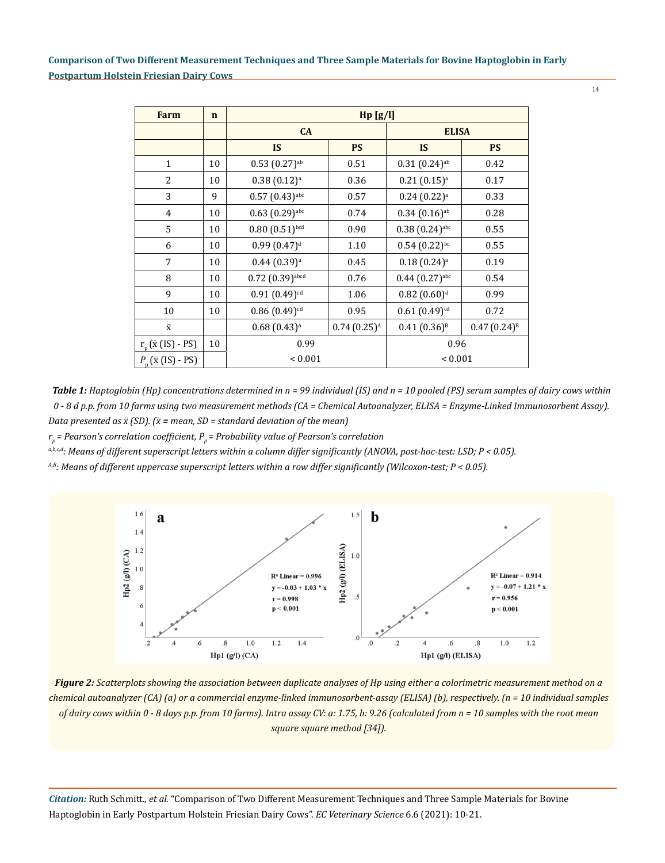14

| <b>Farm</b>              | $\mathbf n$ | Hp[g/l]                         |                  |                                |                  |
|--------------------------|-------------|---------------------------------|------------------|--------------------------------|------------------|
|                          |             | CA                              |                  | <b>ELISA</b>                   |                  |
|                          |             | <b>IS</b>                       | <b>PS</b>        | <b>IS</b>                      | <b>PS</b>        |
| $\mathbf{1}$             | 10          | $0.53(0.27)$ <sup>ab</sup>      | 0.51             | $0.31(0.24)$ <sup>ab</sup>     | 0.42             |
| $\overline{2}$           | 10          | $0.38(0.12)^{a}$                | 0.36             | $0.21(0.15)^{a}$               | 0.17             |
| 3                        | 9           | $0.57(0.43)$ abc                | 0.57             | $0.24(0.22)^{a}$               | 0.33             |
| $\overline{4}$           | 10          | $0.63(0.29)$ abc                | 0.74             | $0.34(0.16)$ <sup>ab</sup>     | 0.28             |
| 5                        | 10          | $0.80(0.51)^{bcd}$              | 0.90             | $0.38(0.24)$ abc               | 0.55             |
| 6                        | 10          | $0.99(0.47)$ <sup>d</sup>       | 1.10             | $0.54$ $(0.22)$ <sup>bc</sup>  | 0.55             |
| 7                        | 10          | $0.44(0.39)^{a}$                | 0.45             | $0.18(0.24)$ <sup>a</sup>      | 0.19             |
| 8                        | 10          | $0.72$ $(0.39)$ <sup>abcd</sup> | 0.76             | $0.44$ $(0.27)$ <sup>abc</sup> | 0.54             |
| 9                        | 10          | $0.91(0.49)$ <sup>cd</sup>      | 1.06             | $0.82~(0.60)^d$                | 0.99             |
| 10                       | 10          | $0.86(0.49)$ <sup>cd</sup>      | 0.95             | $0.61(0.49)$ <sup>cd</sup>     | 0.72             |
| $\bar{x}$                |             | $0.68(0.43)^{A}$                | $0.74(0.25)^{A}$ | $0.41(0.36)^{B}$               | $0.47(0.24)^{B}$ |
| $r_p(\bar{x}$ (IS) - PS) | 10          | 0.99                            |                  | 0.96                           |                  |
| $P_n(\bar{x}$ (IS) - PS) |             | ${}< 0.001$                     |                  | ${}< 0.001$                    |                  |

*Table 1: Haptoglobin (Hp) concentrations determined in n = 99 individual (IS) and n = 10 pooled (PS) serum samples of dairy cows within 0 - 8 d p.p. from 10 farms using two measurement methods (CA = Chemical Autoanalyzer, ELISA = Enzyme-Linked Immunosorbent Assay). Data presented as*  $\bar{x}$  (SD). ( $\bar{x}$  = *mean, SD* = *standard deviation of the mean*)

*rp= Pearson's correlation coefficient, Pp = Probability value of Pearson's correlation*

*a,b,c,d: Means of different superscript letters within a column differ significantly (ANOVA, post-hoc-test: LSD; P < 0.05).*

*A,B: Means of different uppercase superscript letters within a row differ significantly (Wilcoxon-test; P < 0.05).*



*Figure 2: Scatterplots showing the association between duplicate analyses of Hp using either a colorimetric measurement method on a chemical autoanalyzer (CA) (a) or a commercial enzyme-linked immunosorbent-assay (ELISA) (b), respectively. (n = 10 individual samples of dairy cows within 0 - 8 days p.p. from 10 farms). Intra assay CV: a: 1.75, b: 9.26 (calculated from n = 10 samples with the root mean square square method [34]).*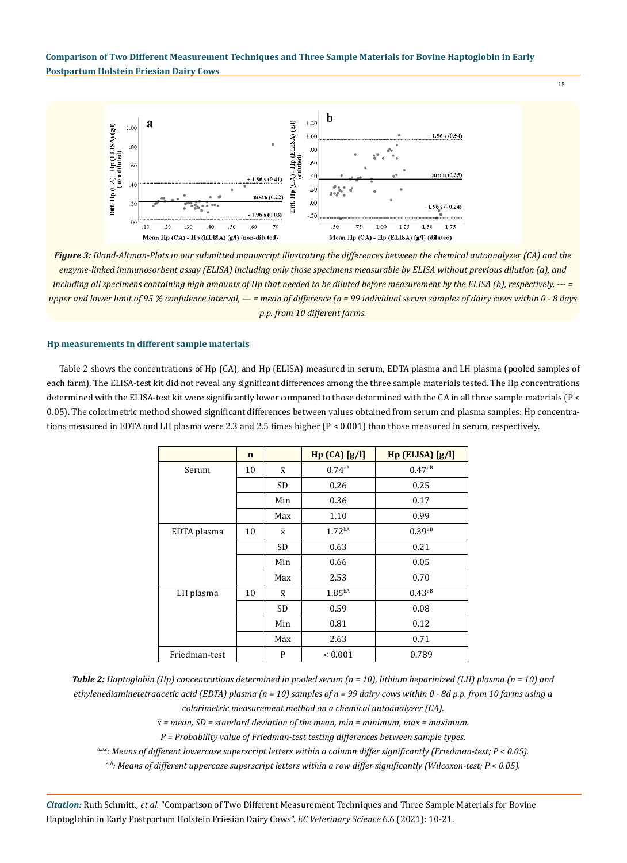

*Figure 3: Bland-Altman-Plots in our submitted manuscript illustrating the differences between the chemical autoanalyzer (CA) and the enzyme-linked immunosorbent assay (ELISA) including only those specimens measurable by ELISA without previous dilution (a), and including all specimens containing high amounts of Hp that needed to be diluted before measurement by the ELISA (b), respectively. --- = upper and lower limit of 95 % confidence interval, — = mean of difference (n = 99 individual serum samples of dairy cows within 0 - 8 days p.p. from 10 different farms.*

### **Hp measurements in different sample materials**

Table 2 shows the concentrations of Hp (CA), and Hp (ELISA) measured in serum, EDTA plasma and LH plasma (pooled samples of each farm). The ELISA-test kit did not reveal any significant differences among the three sample materials tested. The Hp concentrations determined with the ELISA-test kit were significantly lower compared to those determined with the CA in all three sample materials (P < 0.05). The colorimetric method showed significant differences between values obtained from serum and plasma samples: Hp concentrations measured in EDTA and LH plasma were 2.3 and 2.5 times higher (P < 0.001) than those measured in serum, respectively.

|               | $\mathbf n$ |           | Hp(GA)[g/I]        | Hp (ELISA) [g/l]     |
|---------------|-------------|-----------|--------------------|----------------------|
| Serum         | 10          | $\bar{x}$ | 0.74aA             | $0.47^{aB}$          |
|               |             | SD        | 0.26               | 0.25                 |
|               |             | Min       | 0.36               | 0.17                 |
|               |             | Max       | 1.10               | 0.99                 |
| EDTA plasma   | 10          | $\bar{x}$ | 1.72 <sup>bA</sup> | $0.39$ <sub>aB</sub> |
|               |             | SD        | 0.63               | 0.21                 |
|               |             | Min       | 0.66               | 0.05                 |
|               |             | Max       | 2.53               | 0.70                 |
| LH plasma     | 10          | $\bar{x}$ | $1.85^{bA}$        | $0.43^{aB}$          |
|               |             | SD        | 0.59               | 0.08                 |
|               |             | Min       | 0.81               | 0.12                 |
|               |             | Max       | 2.63               | 0.71                 |
| Friedman-test |             | P         | ${}_{0.001}$       | 0.789                |

*Table 2: Haptoglobin (Hp) concentrations determined in pooled serum (n = 10), lithium heparinized (LH) plasma (n = 10) and ethylenediaminetetraacetic acid (EDTA) plasma (n = 10) samples of n = 99 dairy cows within 0 - 8d p.p. from 10 farms using a colorimetric measurement method on a chemical autoanalyzer (CA).*

 $\bar{x}$  = mean, SD = standard deviation of the mean, min = minimum, max = maximum.

*P = Probability value of Friedman-test testing differences between sample types.* 

*a,b,c: Means of different lowercase superscript letters within a column differ significantly (Friedman-test; P < 0.05).*

*A,B: Means of different uppercase superscript letters within a row differ significantly (Wilcoxon-test; P < 0.05).*

*Citation:* Ruth Schmitt*., et al.* "Comparison of Two Different Measurement Techniques and Three Sample Materials for Bovine Haptoglobin in Early Postpartum Holstein Friesian Dairy Cows". *EC Veterinary Science* 6.6 (2021): 10-21.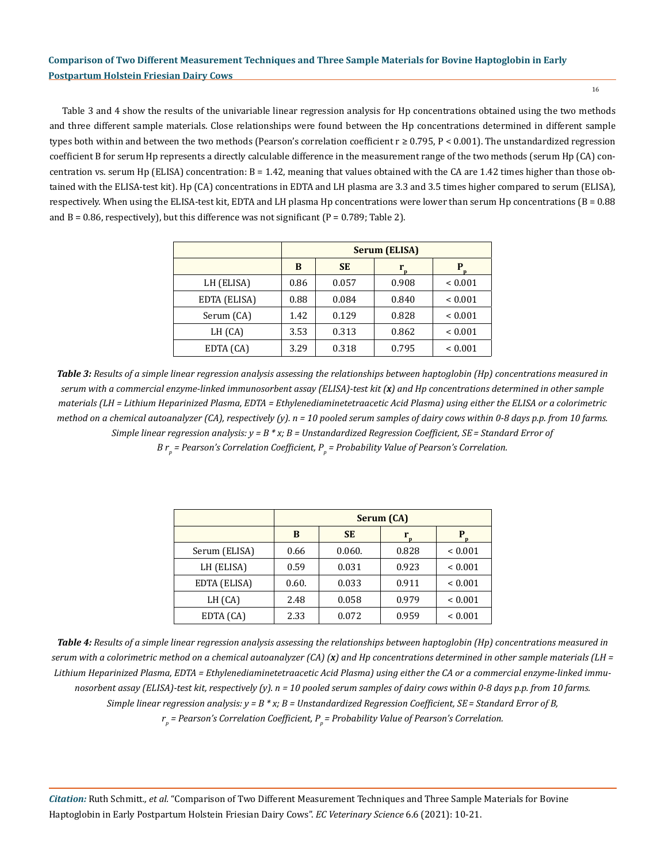16

Table 3 and 4 show the results of the univariable linear regression analysis for Hp concentrations obtained using the two methods and three different sample materials. Close relationships were found between the Hp concentrations determined in different sample types both within and between the two methods (Pearson's correlation coefficient r ≥ 0.795, P < 0.001). The unstandardized regression coefficient B for serum Hp represents a directly calculable difference in the measurement range of the two methods (serum Hp (CA) concentration vs. serum Hp (ELISA) concentration:  $B = 1.42$ , meaning that values obtained with the CA are 1.42 times higher than those obtained with the ELISA-test kit). Hp (CA) concentrations in EDTA and LH plasma are 3.3 and 3.5 times higher compared to serum (ELISA), respectively. When using the ELISA-test kit, EDTA and LH plasma Hp concentrations were lower than serum Hp concentrations  $(B = 0.88$ and  $B = 0.86$ , respectively), but this difference was not significant ( $P = 0.789$ ; Table 2).

|              | <b>Serum (ELISA)</b> |           |       |              |
|--------------|----------------------|-----------|-------|--------------|
|              | B                    | <b>SE</b> |       |              |
| LH (ELISA)   | 0.86                 | 0.057     | 0.908 | ${}_{0.001}$ |
| EDTA (ELISA) | 0.88                 | 0.084     | 0.840 | ${}_{0.001}$ |
| Serum (CA)   | 1.42                 | 0.129     | 0.828 | ${}_{0.001}$ |
| LH (CA)      | 3.53                 | 0.313     | 0.862 | ${}_{0.001}$ |
| EDTA (CA)    | 3.29                 | 0.318     | 0.795 | ${}_{0.001}$ |

*Table 3: Results of a simple linear regression analysis assessing the relationships between haptoglobin (Hp) concentrations measured in serum with a commercial enzyme-linked immunosorbent assay (ELISA)-test kit (x) and Hp concentrations determined in other sample materials (LH = Lithium Heparinized Plasma, EDTA = Ethylenediaminetetraacetic Acid Plasma) using either the ELISA or a colorimetric method on a chemical autoanalyzer (CA), respectively (y). n = 10 pooled serum samples of dairy cows within 0-8 days p.p. from 10 farms. Simple linear regression analysis: y = B \* x; B = Unstandardized Regression Coefficient, SE= Standard Error of B* r<sub>p</sub> = Pearson's Correlation Coefficient, P<sub>p</sub> = Probability Value of Pearson's Correlation.

|               | Serum (CA) |           |        |                |
|---------------|------------|-----------|--------|----------------|
|               | B          | <b>SE</b> | r<br>n | р              |
| Serum (ELISA) | 0.66       | 0.060.    | 0.828  | ${}_{< 0.001}$ |
| LH (ELISA)    | 0.59       | 0.031     | 0.923  | ${}_{0.001}$   |
| EDTA (ELISA)  | 0.60.      | 0.033     | 0.911  | ${}_{0.001}$   |
| LH (CA)       | 2.48       | 0.058     | 0.979  | ${}_{0.001}$   |
| EDTA (CA)     | 2.33       | 0.072     | 0.959  | ${}_{0.001}$   |

*Table 4: Results of a simple linear regression analysis assessing the relationships between haptoglobin (Hp) concentrations measured in serum with a colorimetric method on a chemical autoanalyzer (CA) (x) and Hp concentrations determined in other sample materials (LH = Lithium Heparinized Plasma, EDTA = Ethylenediaminetetraacetic Acid Plasma) using either the CA or a commercial enzyme-linked immunosorbent assay (ELISA)-test kit, respectively (y). n = 10 pooled serum samples of dairy cows within 0-8 days p.p. from 10 farms. Simple linear regression analysis: y = B \* x; B = Unstandardized Regression Coefficient, SE = Standard Error of B, rp = Pearson's Correlation Coefficient, Pp = Probability Value of Pearson's Correlation.*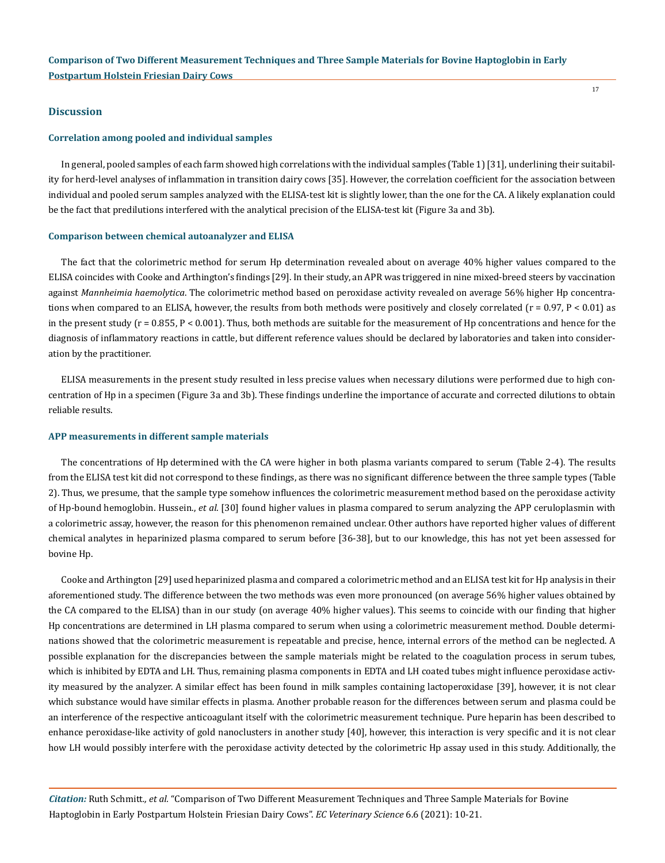### **Discussion**

### **Correlation among pooled and individual samples**

In general, pooled samples of each farm showed high correlations with the individual samples (Table 1) [31], underlining their suitability for herd-level analyses of inflammation in transition dairy cows [35]. However, the correlation coefficient for the association between individual and pooled serum samples analyzed with the ELISA-test kit is slightly lower, than the one for the CA. A likely explanation could be the fact that predilutions interfered with the analytical precision of the ELISA-test kit (Figure 3a and 3b).

17

### **Comparison between chemical autoanalyzer and ELISA**

The fact that the colorimetric method for serum Hp determination revealed about on average 40% higher values compared to the ELISA coincides with Cooke and Arthington's findings [29]. In their study, an APR was triggered in nine mixed-breed steers by vaccination against *Mannheimia haemolytica*. The colorimetric method based on peroxidase activity revealed on average 56% higher Hp concentrations when compared to an ELISA, however, the results from both methods were positively and closely correlated  $(r = 0.97, P < 0.01)$  as in the present study (r = 0.855, P < 0.001). Thus, both methods are suitable for the measurement of Hp concentrations and hence for the diagnosis of inflammatory reactions in cattle, but different reference values should be declared by laboratories and taken into consideration by the practitioner.

ELISA measurements in the present study resulted in less precise values when necessary dilutions were performed due to high concentration of Hp in a specimen (Figure 3a and 3b). These findings underline the importance of accurate and corrected dilutions to obtain reliable results.

### **APP measurements in different sample materials**

The concentrations of Hp determined with the CA were higher in both plasma variants compared to serum (Table 2-4). The results from the ELISA test kit did not correspond to these findings, as there was no significant difference between the three sample types (Table 2). Thus, we presume, that the sample type somehow influences the colorimetric measurement method based on the peroxidase activity of Hp-bound hemoglobin. Hussein., *et al*. [30] found higher values in plasma compared to serum analyzing the APP ceruloplasmin with a colorimetric assay, however, the reason for this phenomenon remained unclear. Other authors have reported higher values of different chemical analytes in heparinized plasma compared to serum before [36-38], but to our knowledge, this has not yet been assessed for bovine Hp.

Cooke and Arthington [29] used heparinized plasma and compared a colorimetric method and an ELISA test kit for Hp analysis in their aforementioned study. The difference between the two methods was even more pronounced (on average 56% higher values obtained by the CA compared to the ELISA) than in our study (on average 40% higher values). This seems to coincide with our finding that higher Hp concentrations are determined in LH plasma compared to serum when using a colorimetric measurement method. Double determinations showed that the colorimetric measurement is repeatable and precise, hence, internal errors of the method can be neglected. A possible explanation for the discrepancies between the sample materials might be related to the coagulation process in serum tubes, which is inhibited by EDTA and LH. Thus, remaining plasma components in EDTA and LH coated tubes might influence peroxidase activity measured by the analyzer. A similar effect has been found in milk samples containing lactoperoxidase [39], however, it is not clear which substance would have similar effects in plasma. Another probable reason for the differences between serum and plasma could be an interference of the respective anticoagulant itself with the colorimetric measurement technique. Pure heparin has been described to enhance peroxidase-like activity of gold nanoclusters in another study [40], however, this interaction is very specific and it is not clear how LH would possibly interfere with the peroxidase activity detected by the colorimetric Hp assay used in this study. Additionally, the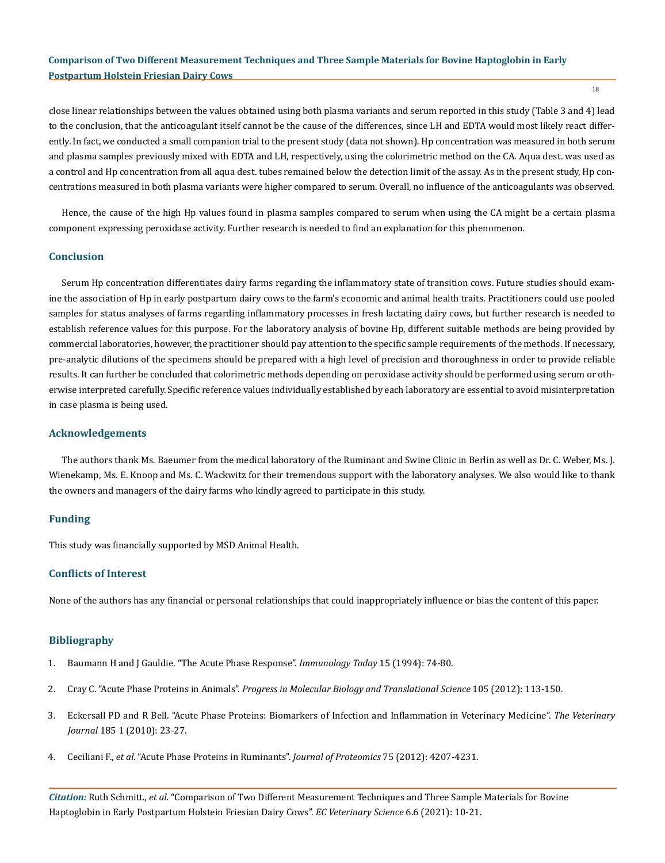close linear relationships between the values obtained using both plasma variants and serum reported in this study (Table 3 and 4) lead to the conclusion, that the anticoagulant itself cannot be the cause of the differences, since LH and EDTA would most likely react differently. In fact, we conducted a small companion trial to the present study (data not shown). Hp concentration was measured in both serum and plasma samples previously mixed with EDTA and LH, respectively, using the colorimetric method on the CA. Aqua dest. was used as a control and Hp concentration from all aqua dest. tubes remained below the detection limit of the assay. As in the present study, Hp concentrations measured in both plasma variants were higher compared to serum. Overall, no influence of the anticoagulants was observed.

Hence, the cause of the high Hp values found in plasma samples compared to serum when using the CA might be a certain plasma component expressing peroxidase activity. Further research is needed to find an explanation for this phenomenon.

### **Conclusion**

Serum Hp concentration differentiates dairy farms regarding the inflammatory state of transition cows. Future studies should examine the association of Hp in early postpartum dairy cows to the farm's economic and animal health traits. Practitioners could use pooled samples for status analyses of farms regarding inflammatory processes in fresh lactating dairy cows, but further research is needed to establish reference values for this purpose. For the laboratory analysis of bovine Hp, different suitable methods are being provided by commercial laboratories, however, the practitioner should pay attention to the specific sample requirements of the methods. If necessary, pre-analytic dilutions of the specimens should be prepared with a high level of precision and thoroughness in order to provide reliable results. It can further be concluded that colorimetric methods depending on peroxidase activity should be performed using serum or otherwise interpreted carefully. Specific reference values individually established by each laboratory are essential to avoid misinterpretation in case plasma is being used.

#### **Acknowledgements**

The authors thank Ms. Baeumer from the medical laboratory of the Ruminant and Swine Clinic in Berlin as well as Dr. C. Weber, Ms. J. Wienekamp, Ms. E. Knoop and Ms. C. Wackwitz for their tremendous support with the laboratory analyses. We also would like to thank the owners and managers of the dairy farms who kindly agreed to participate in this study.

### **Funding**

This study was financially supported by MSD Animal Health.

### **Conflicts of Interest**

None of the authors has any financial or personal relationships that could inappropriately influence or bias the content of this paper.

### **Bibliography**

- 1. [Baumann H and J Gauldie. "The Acute Phase Response".](https://pubmed.ncbi.nlm.nih.gov/7583160/) *Immunology Today* 15 (1994): 74-80.
- 2. Cray C. "Acute Phase Proteins in Animals". *[Progress in Molecular Biology and Translational Science](https://www.sciencedirect.com/science/article/pii/B9780123945969000056)* 105 (2012): 113-150.
- 3. [Eckersall PD and R Bell. "Acute Phase Proteins: Biomarkers of Infection and Inflammation in Veterinary Medicine".](https://www.researchgate.net/publication/45150763_Acute_phase_proteins_Biomarkers_of_infection_and_inflammation_in_veterinary_medicine) *The Veterinary Journal* [185 1 \(2010\): 23-27.](https://www.researchgate.net/publication/45150763_Acute_phase_proteins_Biomarkers_of_infection_and_inflammation_in_veterinary_medicine)
- 4. Ceciliani F., *et al*[. "Acute Phase Proteins in Ruminants".](https://pubmed.ncbi.nlm.nih.gov/22521269/) *Journal of Proteomics* 75 (2012): 4207-4231.

*Citation:* Ruth Schmitt*., et al.* "Comparison of Two Different Measurement Techniques and Three Sample Materials for Bovine Haptoglobin in Early Postpartum Holstein Friesian Dairy Cows". *EC Veterinary Science* 6.6 (2021): 10-21.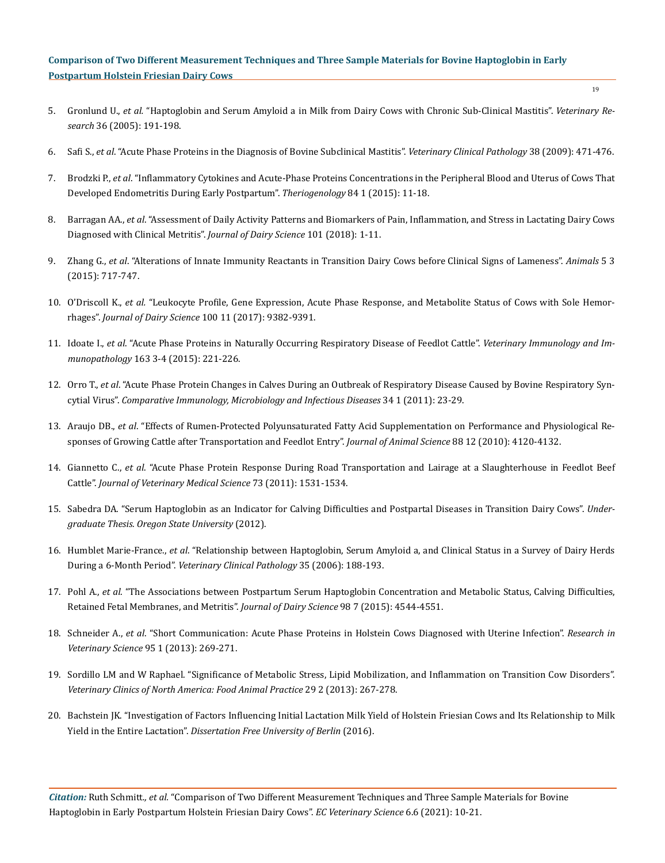- 5. Gronlund U., *et al.* ["Haptoglobin and Serum Amyloid a in Milk from Dairy Cows with Chronic Sub-Clinical Mastitis".](https://www.vetres.org/articles/vetres/pdf/2005/02/v4050.pdf) *Veterinary Research* [36 \(2005\): 191-198.](https://www.vetres.org/articles/vetres/pdf/2005/02/v4050.pdf)
- 6. Safi S., *et al*[. "Acute Phase Proteins in the Diagnosis of Bovine Subclinical Mastitis".](https://www.researchgate.net/publication/26313439_Acute_phase_proteins_in_the_diagnosis_of_bovine_subclinical_mastitis) *Veterinary Clinical Pathology* 38 (2009): 471-476.
- 7. Brodzki P., *et al*[. "Inflammatory Cytokines and Acute-Phase Proteins Concentrations in the Peripheral Blood and Uterus of Cows That](https://pubmed.ncbi.nlm.nih.gov/25765299/) [Developed Endometritis During Early Postpartum".](https://pubmed.ncbi.nlm.nih.gov/25765299/) *Theriogenology* 84 1 (2015): 11-18.
- 8. Barragan AA., *et al*[. "Assessment of Daily Activity Patterns and Biomarkers of Pain, Inflammation, and Stress in Lactating Dairy Cows](https://pubmed.ncbi.nlm.nih.gov/29937269/) [Diagnosed with Clinical Metritis".](https://pubmed.ncbi.nlm.nih.gov/29937269/) *Journal of Dairy Science* 101 (2018): 1-11.
- 9. Zhang G., *et al*[. "Alterations of Innate Immunity Reactants in Transition Dairy Cows before Clinical Signs of Lameness".](https://www.ncbi.nlm.nih.gov/pmc/articles/PMC4598703/) *Animals* 5 3 [\(2015\): 717-747.](https://www.ncbi.nlm.nih.gov/pmc/articles/PMC4598703/)
- 10. O'Driscoll K., *et al.* ["Leukocyte Profile, Gene Expression, Acute Phase Response, and Metabolite Status of Cows with Sole Hemor](https://www.sciencedirect.com/science/article/pii/S0022030217307804)rhages". *[Journal of Dairy Science](https://www.sciencedirect.com/science/article/pii/S0022030217307804)* 100 11 (2017): 9382-9391.
- 11. Idoate I., *et al*[. "Acute Phase Proteins in Naturally Occurring Respiratory Disease of Feedlot Cattle".](https://pubmed.ncbi.nlm.nih.gov/25599608/) *Veterinary Immunology and Immunopathology* [163 3-4 \(2015\): 221-226.](https://pubmed.ncbi.nlm.nih.gov/25599608/)
- 12. Orro T., *et al*[. "Acute Phase Protein Changes in Calves During an Outbreak of Respiratory Disease Caused by Bovine Respiratory Syn](https://pubmed.ncbi.nlm.nih.gov/19897247/)cytial Virus". *[Comparative Immunology, Microbiology and Infectious Diseases](https://pubmed.ncbi.nlm.nih.gov/19897247/)* 34 1 (2011): 23-29.
- 13. Araujo DB., *et al*[. "Effects of Rumen-Protected Polyunsaturated Fatty Acid Supplementation on Performance and Physiological Re](https://academic.oup.com/jas/article-abstract/88/12/4120/4745727?redirectedFrom=fulltext)[sponses of Growing Cattle after Transportation and Feedlot Entry".](https://academic.oup.com/jas/article-abstract/88/12/4120/4745727?redirectedFrom=fulltext) *Journal of Animal Science* 88 12 (2010): 4120-4132.
- 14. Giannetto C., *et al*[. "Acute Phase Protein Response During Road Transportation and Lairage at a Slaughterhouse in Feedlot Beef](https://pubmed.ncbi.nlm.nih.gov/21757859/) Cattle". *[Journal of Veterinary Medical Science](https://pubmed.ncbi.nlm.nih.gov/21757859/)* 73 (2011): 1531-1534.
- 15. Sabedra DA. "Serum Haptoglobin as an Indicator for Calving Difficulties and Postpartal Diseases in Transition Dairy Cows". *Undergraduate Thesis. Oregon State University* (2012).
- 16. Humblet Marie-France., *et al*[. "Relationship between Haptoglobin, Serum Amyloid a, and Clinical Status in a Survey of Dairy Herds](https://pubmed.ncbi.nlm.nih.gov/16783711/) During a 6-Month Period". *[Veterinary Clinical Pathology](https://pubmed.ncbi.nlm.nih.gov/16783711/)* 35 (2006): 188-193.
- 17. Pohl A., *et al*[. "The Associations between Postpartum Serum Haptoglobin Concentration and Metabolic Status, Calving Difficulties,](https://pubmed.ncbi.nlm.nih.gov/25912860/) [Retained Fetal Membranes, and Metritis".](https://pubmed.ncbi.nlm.nih.gov/25912860/) *Journal of Dairy Science* 98 7 (2015): 4544-4551.
- 18. Schneider A., *et al*[. "Short Communication: Acute Phase Proteins in Holstein Cows Diagnosed with Uterine Infection".](https://pubmed.ncbi.nlm.nih.gov/23540606/) *Research in Veterinary Science* [95 1 \(2013\): 269-271.](https://pubmed.ncbi.nlm.nih.gov/23540606/)
- 19. [Sordillo LM and W Raphael. "Significance of Metabolic Stress, Lipid Mobilization, and Inflammation on Transition Cow Disorders".](https://www.vetfood.theclinics.com/article/S0749-0720(13)00029-7/pdf) *[Veterinary Clinics of North America: Food Animal Practice](https://www.vetfood.theclinics.com/article/S0749-0720(13)00029-7/pdf)* 29 2 (2013): 267-278.
- 20. [Bachstein JK. "Investigation of Factors Influencing Initial Lactation Milk Yield of Holstein Friesian Cows and Its Relationship to Milk](https://www.cabdirect.org/cabdirect/abstract/20173115424) Yield in the Entire Lactation". *[Dissertation Free University of Berlin](https://www.cabdirect.org/cabdirect/abstract/20173115424)* (2016).

*Citation:* Ruth Schmitt*., et al.* "Comparison of Two Different Measurement Techniques and Three Sample Materials for Bovine Haptoglobin in Early Postpartum Holstein Friesian Dairy Cows". *EC Veterinary Science* 6.6 (2021): 10-21.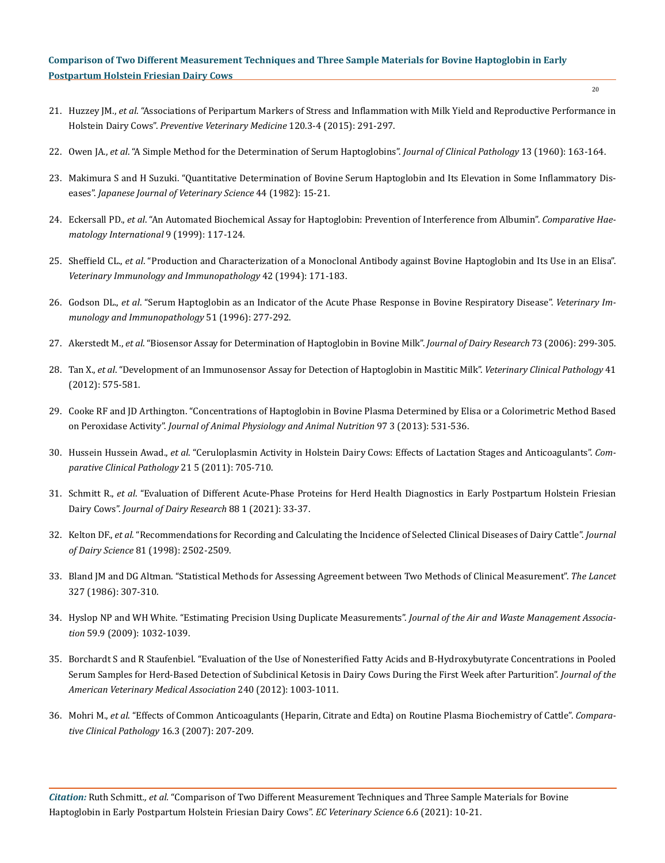- 21. Huzzey JM., *et al*[. "Associations of Peripartum Markers of Stress and Inflammation with Milk Yield and Reproductive Performance in](https://www.sciencedirect.com/science/article/abs/pii/S0167587715001427) Holstein Dairy Cows". *[Preventive Veterinary Medicine](https://www.sciencedirect.com/science/article/abs/pii/S0167587715001427)* 120.3-4 (2015): 291-297.
- 22. Owen JA., *et al*[. "A Simple Method for the Determination of Serum Haptoglobins".](https://www.ncbi.nlm.nih.gov/pmc/articles/PMC480026/) *Journal of Clinical Pathology* 13 (1960): 163-164.
- 23. [Makimura S and H Suzuki. "Quantitative Determination of Bovine Serum Haptoglobin and Its Elevation in Some Inflammatory Dis](https://pubmed.ncbi.nlm.nih.gov/7098236/)eases". *[Japanese Journal of Veterinary Science](https://pubmed.ncbi.nlm.nih.gov/7098236/)* 44 (1982): 15-21.
- 24. Eckersall PD., *et al*[. "An Automated Biochemical Assay for Haptoglobin: Prevention of Interference from Albumin".](https://link.springer.com/article/10.1007/BF02600369) *Comparative Hae[matology International](https://link.springer.com/article/10.1007/BF02600369)* 9 (1999): 117-124.
- 25. Sheffield CL., *et al*[. "Production and Characterization of a Monoclonal Antibody against Bovine Haptoglobin and Its Use in an Elisa".](https://pubmed.ncbi.nlm.nih.gov/7975189/) *[Veterinary Immunology and Immunopathology](https://pubmed.ncbi.nlm.nih.gov/7975189/)* 42 (1994): 171-183.
- 26. Godson DL., *et al*[. "Serum Haptoglobin as an Indicator of the Acute Phase Response in Bovine Respiratory Disease".](https://www.sciencedirect.com/science/article/abs/pii/0165242795055207) *Veterinary Im[munology and Immunopathology](https://www.sciencedirect.com/science/article/abs/pii/0165242795055207)* 51 (1996): 277-292.
- 27. Akerstedt M., *et al*[. "Biosensor Assay for Determination of Haptoglobin in Bovine Milk".](https://www.cambridge.org/core/journals/journal-of-dairy-research/article/abs/biosensor-assay-for-determination-of-haptoglobin-in-bovine-milk/65A8A61C3D39CFBB5C2BF1B9C55E5D32) *Journal of Dairy Research* 73 (2006): 299-305.
- 28. Tan X., *et al*[. "Development of an Immunosensor Assay for Detection of Haptoglobin in Mastitic Milk".](https://pubmed.ncbi.nlm.nih.gov/23003005/) *Veterinary Clinical Pathology* 41 [\(2012\): 575-581.](https://pubmed.ncbi.nlm.nih.gov/23003005/)
- 29. [Cooke RF and JD Arthington. "Concentrations of Haptoglobin in Bovine Plasma Determined by Elisa or a Colorimetric Method Based](https://fic.oregonstate.edu/sites/agscid7/files/eoarc/attachments/721.pdf) on Peroxidase Activity". *[Journal of Animal Physiology and Animal Nutrition](https://fic.oregonstate.edu/sites/agscid7/files/eoarc/attachments/721.pdf)* 97 3 (2013): 531-536.
- 30. Hussein Hussein Awad., *et al*[. "Ceruloplasmin Activity in Holstein Dairy Cows: Effects of Lactation Stages and Anticoagulants".](https://link.springer.com/article/10.1007/s00580-010-1161-8) *Com[parative Clinical Pathology](https://link.springer.com/article/10.1007/s00580-010-1161-8)* 21 5 (2011): 705-710.
- 31. Schmitt R., *et al*[. "Evaluation of Different Acute-Phase Proteins for Herd Health Diagnostics in Early Postpartum Holstein Friesian](https://pubmed.ncbi.nlm.nih.gov/33594968/) Dairy Cows". *[Journal of Dairy Research](https://pubmed.ncbi.nlm.nih.gov/33594968/)* 88 1 (2021): 33-37.
- 32. Kelton DF., *et al.* ["Recommendations for Recording and Calculating the Incidence of Selected Clinical Diseases of Dairy Cattle".](https://pubmed.ncbi.nlm.nih.gov/9785242/) *Journal of Dairy Science* [81 \(1998\): 2502-2509.](https://pubmed.ncbi.nlm.nih.gov/9785242/)
- 33. [Bland JM and DG Altman. "Statistical Methods for Assessing Agreement between Two Methods of Clinical Measurement".](https://pubmed.ncbi.nlm.nih.gov/2868172/) *The Lancet* [327 \(1986\): 307-310.](https://pubmed.ncbi.nlm.nih.gov/2868172/)
- 34. [Hyslop NP and WH White. "Estimating Precision Using Duplicate Measurements".](https://www.tandfonline.com/doi/pdf/10.3155/1047-3289.59.9.1032) *Journal of the Air and Waste Management Association* [59.9 \(2009\): 1032-1039.](https://www.tandfonline.com/doi/pdf/10.3155/1047-3289.59.9.1032)
- 35. [Borchardt S and R Staufenbiel. "Evaluation of the Use of Nonesterified Fatty Acids and Β-Hydroxybutyrate Concentrations in Pooled](https://pubmed.ncbi.nlm.nih.gov/22471831/) [Serum Samples for Herd-Based Detection of Subclinical Ketosis in Dairy Cows During the First Week after Parturition".](https://pubmed.ncbi.nlm.nih.gov/22471831/) *Journal of the [American Veterinary Medical Association](https://pubmed.ncbi.nlm.nih.gov/22471831/)* 240 (2012): 1003-1011.
- 36. Mohri M., *et al*[. "Effects of Common Anticoagulants \(Heparin, Citrate and Edta\) on Routine Plasma Biochemistry of Cattle".](https://link.springer.com/article/10.1007/s00580-006-0664-9) *Compara[tive Clinical Pathology](https://link.springer.com/article/10.1007/s00580-006-0664-9)* 16.3 (2007): 207-209.

*Citation:* Ruth Schmitt*., et al.* "Comparison of Two Different Measurement Techniques and Three Sample Materials for Bovine Haptoglobin in Early Postpartum Holstein Friesian Dairy Cows". *EC Veterinary Science* 6.6 (2021): 10-21.